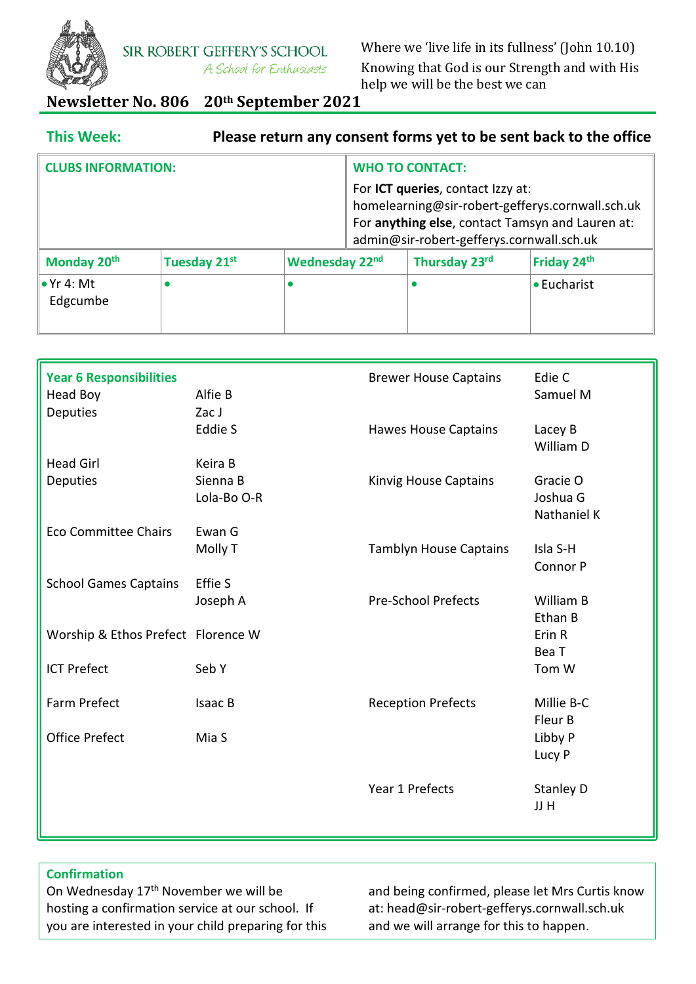

SIR ROBERT GEFFERY'S SCHOOL A School for Enthusiasts Where we 'live life in its fullness' (John 10.10) Knowing that God is our Strength and with His help we will be the best we can

# **Newsletter No. 806 20th September 2021**

| <b>This Week:</b>              |              |                        |  |                                                                                | Please return any consent forms yet to be sent back to the office                                    |
|--------------------------------|--------------|------------------------|--|--------------------------------------------------------------------------------|------------------------------------------------------------------------------------------------------|
| <b>CLUBS INFORMATION:</b>      |              | <b>WHO TO CONTACT:</b> |  |                                                                                |                                                                                                      |
|                                |              |                        |  | For ICT queries, contact Izzy at:<br>admin@sir-robert-gefferys.cornwall.sch.uk | homelearning@sir-robert-gefferys.cornwall.sch.uk<br>For anything else, contact Tamsyn and Lauren at: |
| Monday 20 <sup>th</sup>        | Tuesday 21st | Wednesday 22nd         |  | Thursday 23rd                                                                  | Friday 24 <sup>th</sup>                                                                              |
| $\bullet$ Yr 4: Mt<br>Edgcumbe | $\bullet$    |                        |  |                                                                                | • Eucharist                                                                                          |

| <b>Year 6 Responsibilities</b>     |             | <b>Brewer House Captains</b>  | Edie C      |
|------------------------------------|-------------|-------------------------------|-------------|
| <b>Head Boy</b>                    | Alfie B     |                               | Samuel M    |
| <b>Deputies</b>                    | Zac J       |                               |             |
|                                    | Eddie S     | <b>Hawes House Captains</b>   | Lacey B     |
|                                    |             |                               | William D   |
|                                    |             |                               |             |
| <b>Head Girl</b>                   | Keira B     |                               |             |
| <b>Deputies</b>                    | Sienna B    | Kinvig House Captains         | Gracie O    |
|                                    | Lola-Bo O-R |                               | Joshua G    |
|                                    |             |                               | Nathaniel K |
| <b>Eco Committee Chairs</b>        | Ewan G      |                               |             |
|                                    | Molly T     | <b>Tamblyn House Captains</b> | Isla S-H    |
|                                    |             |                               | Connor P    |
| <b>School Games Captains</b>       | Effie S     |                               |             |
|                                    | Joseph A    | <b>Pre-School Prefects</b>    | William B   |
|                                    |             |                               | Ethan B     |
|                                    |             |                               |             |
| Worship & Ethos Prefect Florence W |             |                               | Erin R      |
|                                    |             |                               | Bea T       |
| <b>ICT Prefect</b>                 | Seb Y       |                               | Tom W       |
|                                    |             |                               |             |
| Farm Prefect                       | Isaac B     | <b>Reception Prefects</b>     | Millie B-C  |
|                                    |             |                               | Fleur B     |
| <b>Office Prefect</b>              | Mia S       |                               | Libby P     |
|                                    |             |                               | Lucy P      |
|                                    |             |                               |             |
|                                    |             | Year 1 Prefects               |             |
|                                    |             |                               | Stanley D   |
|                                    |             |                               | JJ H        |
|                                    |             |                               |             |

# **Confirmation**

On Wednesday 17th November we will be hosting a confirmation service at our school. If you are interested in your child preparing for this

and being confirmed, please let Mrs Curtis know at: head@sir-robert-gefferys.cornwall.sch.uk and we will arrange for this to happen.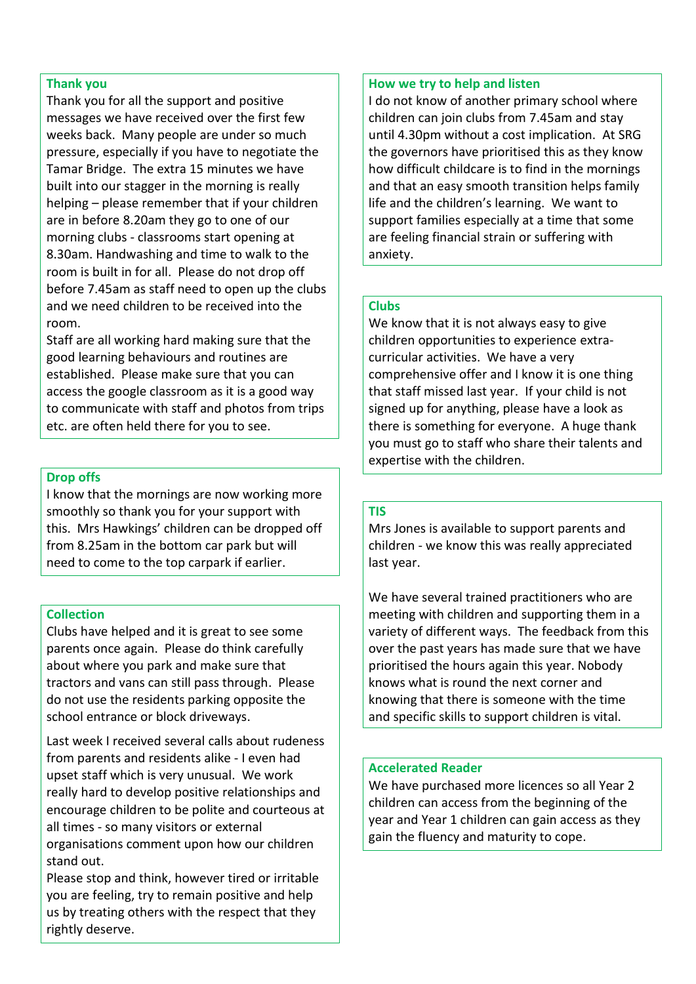#### **Thank you**

Thank you for all the support and positive messages we have received over the first few weeks back. Many people are under so much pressure, especially if you have to negotiate the Tamar Bridge. The extra 15 minutes we have built into our stagger in the morning is really helping – please remember that if your children are in before 8.20am they go to one of our morning clubs - classrooms start opening at 8.30am. Handwashing and time to walk to the room is built in for all. Please do not drop off before 7.45am as staff need to open up the clubs and we need children to be received into the room.

Staff are all working hard making sure that the good learning behaviours and routines are established. Please make sure that you can access the google classroom as it is a good way to communicate with staff and photos from trips etc. are often held there for you to see.

#### **Drop offs**

I know that the mornings are now working more smoothly so thank you for your support with this. Mrs Hawkings' children can be dropped off from 8.25am in the bottom car park but will need to come to the top carpark if earlier.

## **Collection**

Clubs have helped and it is great to see some parents once again. Please do think carefully about where you park and make sure that tractors and vans can still pass through. Please do not use the residents parking opposite the school entrance or block driveways.

Last week I received several calls about rudeness from parents and residents alike - I even had upset staff which is very unusual. We work really hard to develop positive relationships and encourage children to be polite and courteous at all times - so many visitors or external organisations comment upon how our children stand out.

Please stop and think, however tired or irritable you are feeling, try to remain positive and help us by treating others with the respect that they rightly deserve.

#### **How we try to help and listen**

I do not know of another primary school where children can join clubs from 7.45am and stay until 4.30pm without a cost implication. At SRG the governors have prioritised this as they know how difficult childcare is to find in the mornings and that an easy smooth transition helps family life and the children's learning. We want to support families especially at a time that some are feeling financial strain or suffering with anxiety.

## **Clubs**

We know that it is not always easy to give children opportunities to experience extracurricular activities. We have a very comprehensive offer and I know it is one thing that staff missed last year. If your child is not signed up for anything, please have a look as there is something for everyone. A huge thank you must go to staff who share their talents and expertise with the children.

## **TIS**

Mrs Jones is available to support parents and children - we know this was really appreciated last year.

We have several trained practitioners who are meeting with children and supporting them in a variety of different ways. The feedback from this over the past years has made sure that we have prioritised the hours again this year. Nobody knows what is round the next corner and knowing that there is someone with the time and specific skills to support children is vital.

## **Accelerated Reader**

We have purchased more licences so all Year 2 children can access from the beginning of the year and Year 1 children can gain access as they gain the fluency and maturity to cope.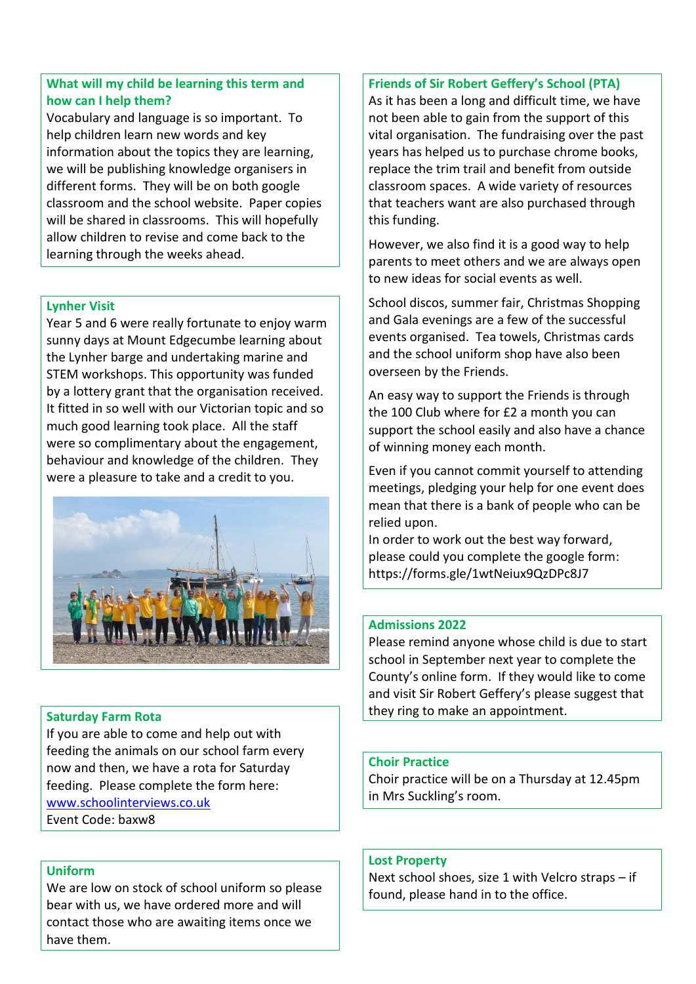# **What will my child be learning this term and how can I help them?**

Vocabulary and language is so important. To help children learn new words and key information about the topics they are learning, we will be publishing knowledge organisers in different forms. They will be on both google classroom and the school website. Paper copies will be shared in classrooms. This will hopefully allow children to revise and come back to the learning through the weeks ahead.

## **Lynher Visit**

Year 5 and 6 were really fortunate to enjoy warm sunny days at Mount Edgecumbe learning about the Lynher barge and undertaking marine and STEM workshops. This opportunity was funded by a lottery grant that the organisation received. It fitted in so well with our Victorian topic and so much good learning took place. All the staff were so complimentary about the engagement, behaviour and knowledge of the children. They were a pleasure to take and a credit to you.



# **Saturday Farm Rota**

If you are able to come and help out with feeding the animals on our school farm every now and then, we have a rota for Saturday feeding. Please complete the form here: [www.schoolinterviews.co.uk](http://www.schoolinterviews.co.uk/) Event Code: baxw8

## **Uniform**

We are low on stock of school uniform so please bear with us, we have ordered more and will contact those who are awaiting items once we have them.

## **Friends of Sir Robert Geffery's School (PTA)**

As it has been a long and difficult time, we have not been able to gain from the support of this vital organisation. The fundraising over the past years has helped us to purchase chrome books, replace the trim trail and benefit from outside classroom spaces. A wide variety of resources that teachers want are also purchased through this funding.

However, we also find it is a good way to help parents to meet others and we are always open to new ideas for social events as well.

School discos, summer fair, Christmas Shopping and Gala evenings are a few of the successful events organised. Tea towels, Christmas cards and the school uniform shop have also been overseen by the Friends.

An easy way to support the Friends is through the 100 Club where for £2 a month you can support the school easily and also have a chance of winning money each month.

Even if you cannot commit yourself to attending meetings, pledging your help for one event does mean that there is a bank of people who can be relied upon.

In order to work out the best way forward, please could you complete the google form: https://forms.gle/1wtNeiux9QzDPc8J7

## **Admissions 2022**

Please remind anyone whose child is due to start school in September next year to complete the County's online form. If they would like to come and visit Sir Robert Geffery's please suggest that they ring to make an appointment.

#### **Choir Practice**

Choir practice will be on a Thursday at 12.45pm in Mrs Suckling's room.

#### **Lost Property**

Next school shoes, size 1 with Velcro straps – if found, please hand in to the office.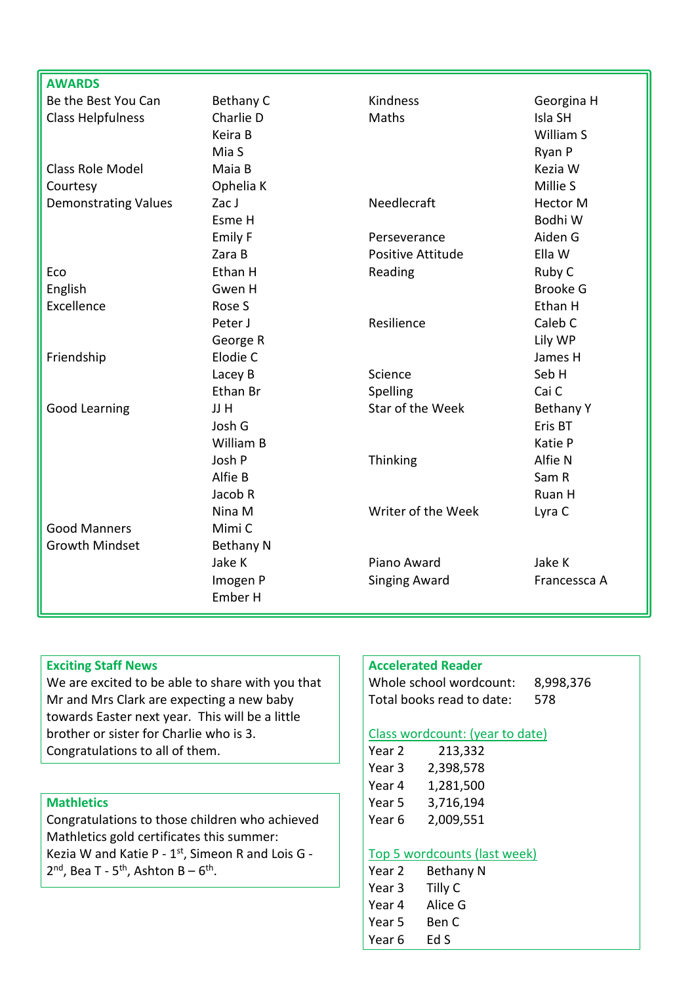| <b>AWARDS</b>               |                  |                          |                  |
|-----------------------------|------------------|--------------------------|------------------|
| Be the Best You Can         | Bethany C        | <b>Kindness</b>          | Georgina H       |
| <b>Class Helpfulness</b>    | Charlie D        | Maths                    | Isla SH          |
|                             | Keira B          |                          | William S        |
|                             | Mia S            |                          | Ryan P           |
| <b>Class Role Model</b>     | Maia B           |                          | Kezia W          |
| Courtesy                    | Ophelia K        |                          | Millie S         |
| <b>Demonstrating Values</b> | Zac J            | Needlecraft              | <b>Hector M</b>  |
|                             | Esme H           |                          | Bodhi W          |
|                             | Emily F          | Perseverance             | Aiden G          |
|                             | Zara B           | <b>Positive Attitude</b> | Ella W           |
| Eco                         | Ethan H          | Reading                  | Ruby C           |
| English                     | Gwen H           |                          | <b>Brooke G</b>  |
| Excellence                  | Rose S           |                          | Ethan H          |
|                             | Peter J          | Resilience               | Caleb C          |
|                             | George R         |                          | Lily WP          |
| Friendship                  | Elodie C         |                          | James H          |
|                             | Lacey B          | Science                  | Seb H            |
|                             | Ethan Br         | Spelling                 | Cai C            |
| <b>Good Learning</b>        | JJ H             | Star of the Week         | <b>Bethany Y</b> |
|                             | Josh G           |                          | Eris BT          |
|                             | William B        |                          | Katie P          |
|                             | Josh P           | Thinking                 | Alfie N          |
|                             | Alfie B          |                          | Sam R            |
|                             | Jacob R          |                          | Ruan H           |
|                             | Nina M           | Writer of the Week       | Lyra C           |
| <b>Good Manners</b>         | Mimi C           |                          |                  |
| <b>Growth Mindset</b>       | <b>Bethany N</b> |                          |                  |
|                             | Jake K           | Piano Award              | Jake K           |
|                             | Imogen P         | <b>Singing Award</b>     | Francessca A     |
|                             | Ember H          |                          |                  |

# **Exciting Staff News**

We are excited to be able to share with you that Mr and Mrs Clark are expecting a new baby towards Easter next year. This will be a little brother or sister for Charlie who is 3. Congratulations to all of them.

# **Mathletics**

Congratulations to those children who achieved Mathletics gold certificates this summer: Kezia W and Katie P -  $1<sup>st</sup>$ , Simeon R and Lois G - $2<sup>nd</sup>$ , Bea T - 5<sup>th</sup>, Ashton B – 6<sup>th</sup>.

#### **Accelerated Reader**

Whole school wordcount: 8,998,376 Total books read to date: 578

#### Class wordcount: (year to date)

| Year 2 | 213,332   |
|--------|-----------|
| Year 3 | 2,398,578 |
| Year 4 | 1,281,500 |
| Year 5 | 3,716,194 |
| Year 6 | 2,009,551 |
|        |           |

## Top 5 wordcounts (last week)

| Year 2 | Bethany N |  |
|--------|-----------|--|
| Year 3 | Tilly C   |  |
| Year 4 | Alice G   |  |
| Year 5 | Ben C     |  |
| Year 6 | Ed S      |  |